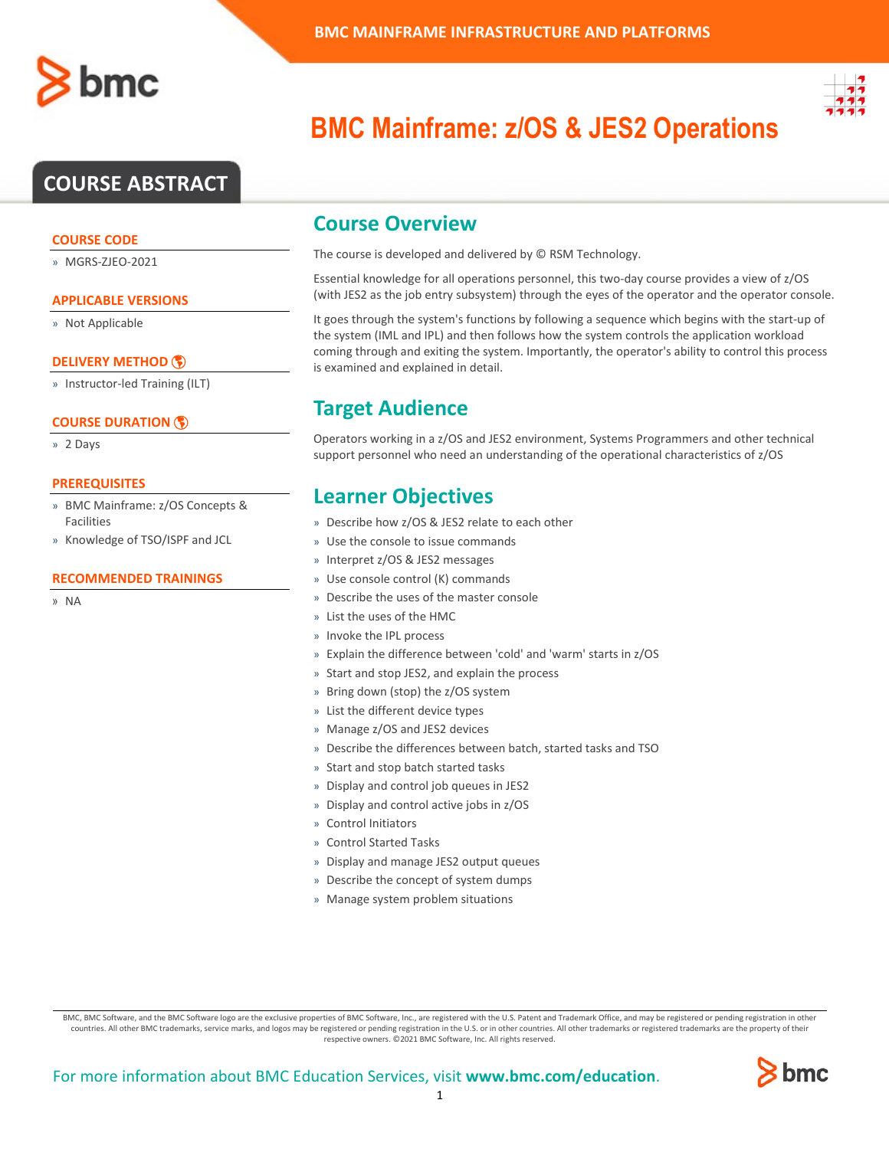# **COURSE ABSTRACT**

#### **COURSE CODE**

» MGRS-ZJEO-2021

#### **APPLICABLE VERSIONS**

» Not Applicable

#### **[DELIVERY METHOD](http://www.bmc.com/education/modality.html)**

» Instructor-led Training (ILT)

#### **[COURSE DURATION](http://www.bmc.com/education/learning-paths/education-filters-learning-paths.html)**

» 2 Days

#### **PREREQUISITES**

- » BMC Mainframe: z/OS Concepts & Facilities
- » Knowledge of TSO/ISPF and JCL

#### **RECOMMENDED TRAININGS**

» NA



# **BMC Mainframe: z/OS & JES2 Operations**

### **Course Overview**

The course is developed and delivered by © RSM Technology.

Essential knowledge for all operations personnel, this two-day course provides a view of z/OS (with JES2 as the job entry subsystem) through the eyes of the operator and the operator console.

It goes through the system's functions by following a sequence which begins with the start-up of the system (IML and IPL) and then follows how the system controls the application workload coming through and exiting the system. Importantly, the operator's ability to control this process is examined and explained in detail.

# **Target Audience**

Operators working in a z/OS and JES2 environment, Systems Programmers and other technical support personnel who need an understanding of the operational characteristics of z/OS

### **Learner Objectives**

- » Describe how z/OS & JES2 relate to each other
- » Use the console to issue commands
- » Interpret z/OS & JES2 messages
- » Use console control (K) commands
- » Describe the uses of the master console
- » List the uses of the HMC
- » Invoke the IPL process
- » Explain the difference between 'cold' and 'warm' starts in z/OS
- » Start and stop JES2, and explain the process
- » Bring down (stop) the z/OS system
- » List the different device types
- » Manage z/OS and JES2 devices
- » Describe the differences between batch, started tasks and TSO
- » Start and stop batch started tasks
- » Display and control job queues in JES2
- » Display and control active jobs in z/OS
- » Control Initiators
- » Control Started Tasks
- » Display and manage JES2 output queues
- » Describe the concept of system dumps
- » Manage system problem situations

BMC, BMC Software, and the BMC Software logo are the exclusive properties of BMC Software, Inc., are registered with the U.S. Patent and Trademark Office, and may be registered or pending registration in other countries. All other BMC trademarks, service marks, and logos may be registered or pending registration in the U.S. or in other countries. All other trademarks or registered trademarks are the property of their respective owners. ©2021 BMC Software, Inc. All rights reserved.

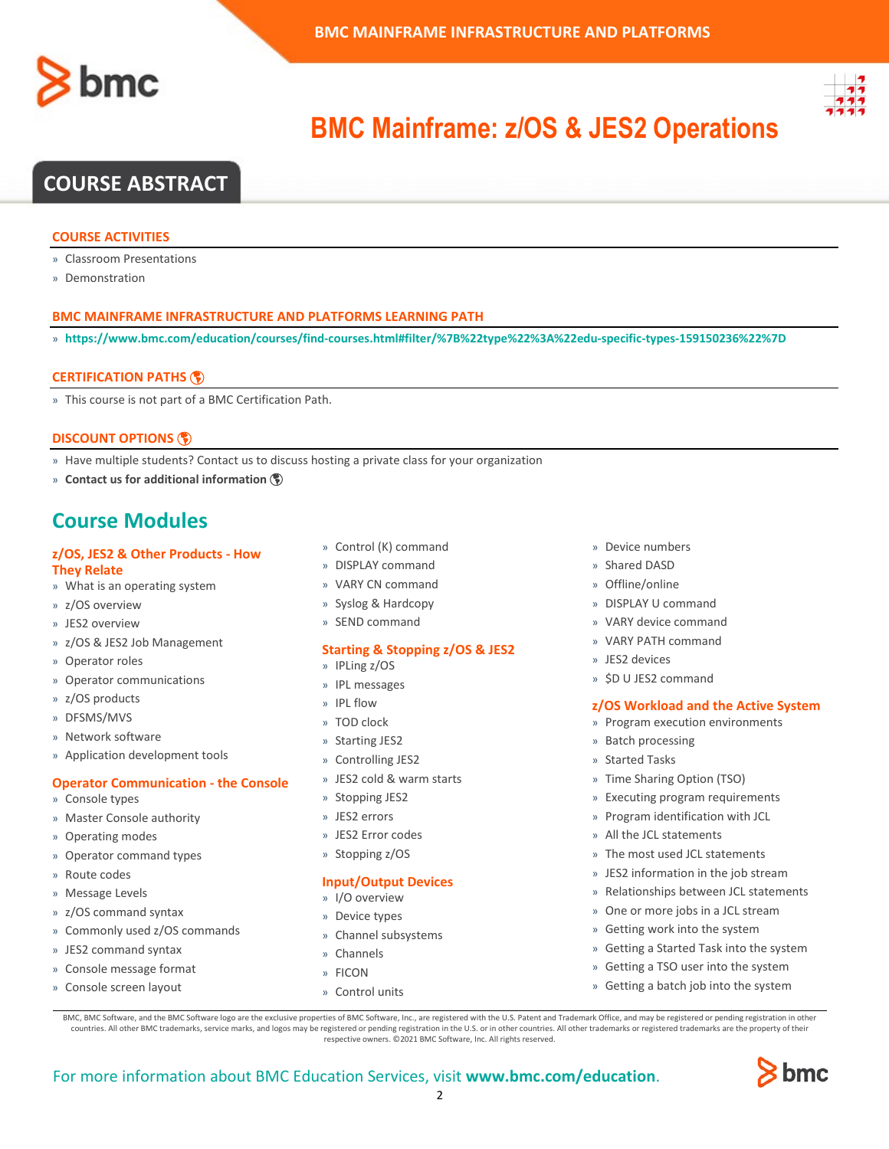



# **BMC Mainframe: z/OS & JES2 Operations**

## **COURSE ABSTRACT**

#### **COURSE ACTIVITIES**

- » Classroom Presentations
- » Demonstration

#### **BMC MAINFRAME INFRASTRUCTURE AND PLATFORMS LEARNING PATH**

» **<https://www.bmc.com/education/courses/find-courses.html#filter/%7B%22type%22%3A%22edu-specific-types-159150236%22%7D>**

#### **[CERTIFICATION PATHS](http://www.bmc.com/education/certification-programs)**

» This course is not part of a BMC Certification Path.

#### **[DISCOUNT OPTIONS](http://www.bmc.com/education/customer-service/customer-service.html)**

- » Have multiple students? Contact us to discuss hosting a private class for your organization
- » **[Contact us for additional information](http://www.bmc.com/education)**

### **Course Modules**

#### **z/OS, JES2 & Other Products - How**

- **They Relate**
- » What is an operating system
- » z/OS overview
- » JES2 overview
- » z/OS & JES2 Job Management
- » Operator roles
- » Operator communications
- » z/OS products
- » DFSMS/MVS
- » Network software
- » Application development tools

#### **Operator Communication - the Console**

- » Console types
- » Master Console authority
- » Operating modes
- » Operator command types
- » Route codes
- » Message Levels
- » z/OS command syntax
- » Commonly used z/OS commands
- » JES2 command syntax
- » Console message format
- » Console screen layout
- » Control (K) command
- » DISPLAY command
- » VARY CN command
- » Syslog & Hardcopy
- » SEND command

#### **Starting & Stopping z/OS & JES2**

- » IPLing z/OS
- » IPL messages » IPL flow
- 
- » TOD clock
- » Starting JES2 » Controlling JES2
- 
- » JES2 cold & warm starts
- » Stopping JES2
- » JES2 errors
- » JES2 Error codes
- » Stopping z/OS

#### **Input/Output Devices**

- » I/O overview
- » Device types
- » Channel subsystems
- » Channels
- » FICON
- » Control units
- » Device numbers
- » Shared DASD
- » Offline/online
- » DISPLAY U command
- » VARY device command
- » VARY PATH command
- » JES2 devices
- » \$D U JES2 command

#### **z/OS Workload and the Active System**

- » Program execution environments
- » Batch processing
- » Started Tasks
- » Time Sharing Option (TSO)
- » Executing program requirements
- » Program identification with JCL
- » All the JCL statements
- » The most used JCL statements
- » JES2 information in the job stream
- » Relationships between JCL statements
- » One or more jobs in a JCL stream
- » Getting work into the system
- » Getting a Started Task into the system
- » Getting a TSO user into the system
- » Getting a batch job into the system

BMC, BMC Software, and the BMC Software logo are the exclusive properties of BMC Software, Inc., are registered with the U.S. Patent and Trademark Office, and may be registered or pending registration in other countries. All other BMC trademarks, service marks, and logos may be registered or pending registration in the U.S. or in other countries. All other trademarks or registered trademarks are the property of their respective owners. ©2021 BMC Software, Inc. All rights reserved.

 $\mathfrak{Z}$